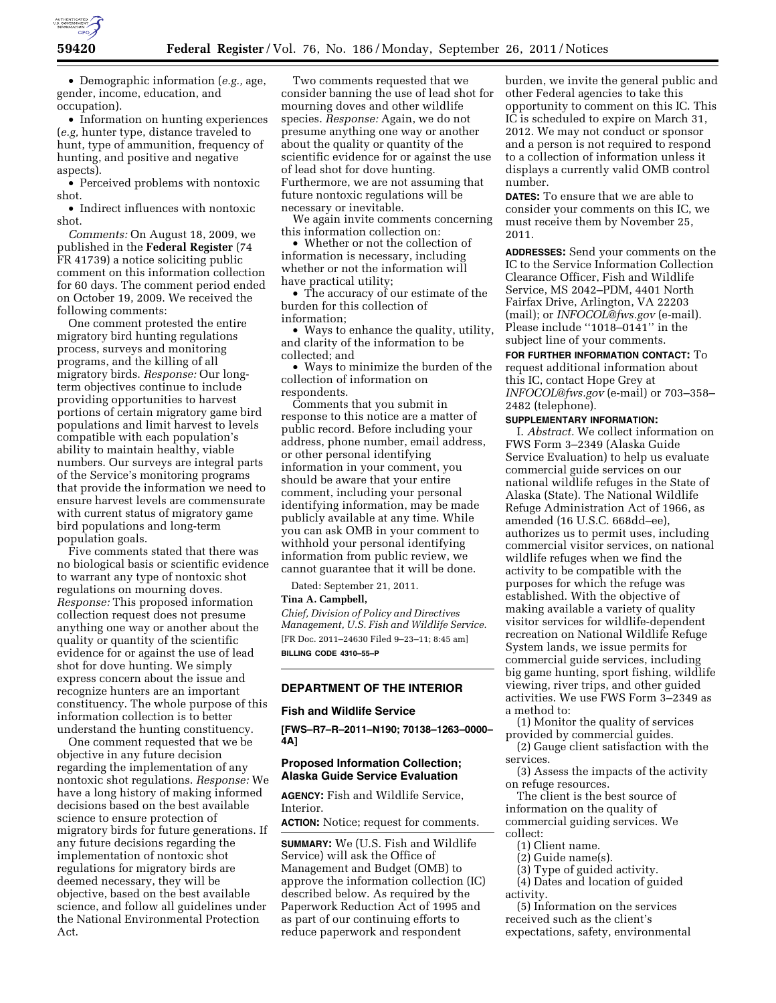

• Demographic information (*e.g.,* age, gender, income, education, and occupation).

• Information on hunting experiences (*e.g,* hunter type, distance traveled to hunt, type of ammunition, frequency of hunting, and positive and negative aspects).

• Perceived problems with nontoxic shot.

• Indirect influences with nontoxic shot.

*Comments:* On August 18, 2009, we published in the **Federal Register** (74 FR 41739) a notice soliciting public comment on this information collection for 60 days. The comment period ended on October 19, 2009. We received the following comments:

One comment protested the entire migratory bird hunting regulations process, surveys and monitoring programs, and the killing of all migratory birds. *Response:* Our longterm objectives continue to include providing opportunities to harvest portions of certain migratory game bird populations and limit harvest to levels compatible with each population's ability to maintain healthy, viable numbers. Our surveys are integral parts of the Service's monitoring programs that provide the information we need to ensure harvest levels are commensurate with current status of migratory game bird populations and long-term population goals.

Five comments stated that there was no biological basis or scientific evidence to warrant any type of nontoxic shot regulations on mourning doves. *Response:* This proposed information collection request does not presume anything one way or another about the quality or quantity of the scientific evidence for or against the use of lead shot for dove hunting. We simply express concern about the issue and recognize hunters are an important constituency. The whole purpose of this information collection is to better understand the hunting constituency.

One comment requested that we be objective in any future decision regarding the implementation of any nontoxic shot regulations. *Response:* We have a long history of making informed decisions based on the best available science to ensure protection of migratory birds for future generations. If any future decisions regarding the implementation of nontoxic shot regulations for migratory birds are deemed necessary, they will be objective, based on the best available science, and follow all guidelines under the National Environmental Protection Act.

Two comments requested that we consider banning the use of lead shot for mourning doves and other wildlife species. *Response:* Again, we do not presume anything one way or another about the quality or quantity of the scientific evidence for or against the use of lead shot for dove hunting. Furthermore, we are not assuming that future nontoxic regulations will be necessary or inevitable.

We again invite comments concerning this information collection on:

• Whether or not the collection of information is necessary, including whether or not the information will have practical utility;

• The accuracy of our estimate of the burden for this collection of information;

• Ways to enhance the quality, utility, and clarity of the information to be collected; and

• Ways to minimize the burden of the collection of information on respondents.

Comments that you submit in response to this notice are a matter of public record. Before including your address, phone number, email address, or other personal identifying information in your comment, you should be aware that your entire comment, including your personal identifying information, may be made publicly available at any time. While you can ask OMB in your comment to withhold your personal identifying information from public review, we cannot guarantee that it will be done.

Dated: September 21, 2011.

#### **Tina A. Campbell,**

*Chief, Division of Policy and Directives Management, U.S. Fish and Wildlife Service.*  [FR Doc. 2011–24630 Filed 9–23–11; 8:45 am] **BILLING CODE 4310–55–P** 

# **DEPARTMENT OF THE INTERIOR**

### **Fish and Wildlife Service**

**[FWS–R7–R–2011–N190; 70138–1263–0000– 4A]** 

### **Proposed Information Collection; Alaska Guide Service Evaluation**

**AGENCY:** Fish and Wildlife Service, Interior.

**ACTION:** Notice; request for comments.

**SUMMARY:** We (U.S. Fish and Wildlife Service) will ask the Office of Management and Budget (OMB) to approve the information collection (IC) described below. As required by the Paperwork Reduction Act of 1995 and as part of our continuing efforts to reduce paperwork and respondent

burden, we invite the general public and other Federal agencies to take this opportunity to comment on this IC. This IC is scheduled to expire on March 31, 2012. We may not conduct or sponsor and a person is not required to respond to a collection of information unless it displays a currently valid OMB control number.

**DATES:** To ensure that we are able to consider your comments on this IC, we must receive them by November 25, 2011.

**ADDRESSES:** Send your comments on the IC to the Service Information Collection Clearance Officer, Fish and Wildlife Service, MS 2042–PDM, 4401 North Fairfax Drive, Arlington, VA 22203 (mail); or *[INFOCOL@fws.gov](mailto:INFOCOL@fws.gov)* (e-mail). Please include ''1018–0141'' in the subject line of your comments.

**FOR FURTHER INFORMATION CONTACT:** To request additional information about this IC, contact Hope Grey at *[INFOCOL@fws.gov](mailto:INFOCOL@fws.gov)* (e-mail) or 703–358– 2482 (telephone).

**SUPPLEMENTARY INFORMATION:** 

I. *Abstract.* We collect information on FWS Form 3–2349 (Alaska Guide Service Evaluation) to help us evaluate commercial guide services on our national wildlife refuges in the State of Alaska (State). The National Wildlife Refuge Administration Act of 1966, as amended (16 U.S.C. 668dd–ee), authorizes us to permit uses, including commercial visitor services, on national wildlife refuges when we find the activity to be compatible with the purposes for which the refuge was established. With the objective of making available a variety of quality visitor services for wildlife-dependent recreation on National Wildlife Refuge System lands, we issue permits for commercial guide services, including big game hunting, sport fishing, wildlife viewing, river trips, and other guided activities. We use FWS Form 3–2349 as a method to:

(1) Monitor the quality of services provided by commercial guides.

(2) Gauge client satisfaction with the services.

(3) Assess the impacts of the activity on refuge resources.

The client is the best source of information on the quality of commercial guiding services. We collect:

- (1) Client name.
- (2) Guide name(s).

(3) Type of guided activity.

(4) Dates and location of guided activity.

(5) Information on the services received such as the client's expectations, safety, environmental